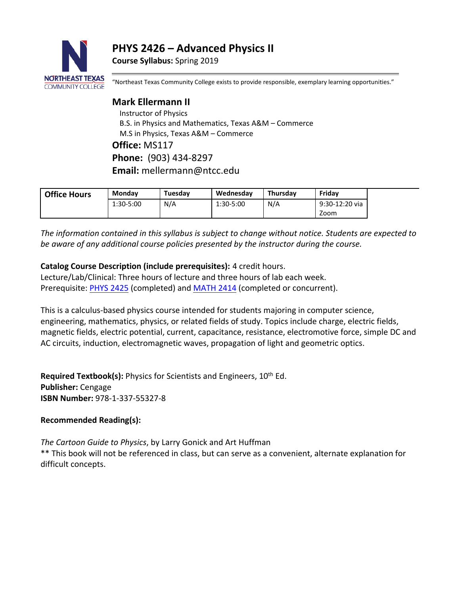**PHYS 2426 – Advanced Physics II**

**Course Syllabus:** Spring 2019



"Northeast Texas Community College exists to provide responsible, exemplary learning opportunities."

# **Mark Ellermann II** Instructor of Physics B.S. in Physics and Mathematics, Texas A&M – Commerce M.S in Physics, Texas A&M – Commerce **Office:** MS117 **Phone:** (903) 434-8297 **Email:** mellermann@ntcc.edu

| <b>Office Hours</b> | <b>Monday</b> | Tuesdav | Wednesday | Thursdav | Fridav         |
|---------------------|---------------|---------|-----------|----------|----------------|
|                     | 1:30-5:00     | N/A     | 1:30-5:00 | N/A      | 9:30-12:20 via |
|                     |               |         |           |          | Zoom           |

*The information contained in this syllabus is subject to change without notice. Students are expected to be aware of any additional course policies presented by the instructor during the course.*

## **Catalog Course Description (include prerequisites):** 4 credit hours.

Lecture/Lab/Clinical: Three hours of lecture and three hours of lab each week. Prerequisite: [PHYS 2425](http://catalog.ntcc.edu/content.php?catoid=4&catoid=4&navoid=790&filter%5Bitem_type%5D=3&filter%5Bonly_active%5D=1&filter%5B3%5D=1&filter%5Bcpage%5D=6#tt9479) (completed) and [MATH 2414](http://catalog.ntcc.edu/content.php?catoid=4&catoid=4&navoid=790&filter%5Bitem_type%5D=3&filter%5Bonly_active%5D=1&filter%5B3%5D=1&filter%5Bcpage%5D=6#tt2827) (completed or concurrent).

This is a calculus-based physics course intended for students majoring in computer science, engineering, mathematics, physics, or related fields of study. Topics include charge, electric fields, magnetic fields, electric potential, current, capacitance, resistance, electromotive force, simple DC and AC circuits, induction, electromagnetic waves, propagation of light and geometric optics.

**Required Textbook(s):** Physics for Scientists and Engineers, 10<sup>th</sup> Ed. **Publisher:** Cengage **ISBN Number:** 978-1-337-55327-8

## **Recommended Reading(s):**

*The Cartoon Guide to Physics*, by Larry Gonick and Art Huffman \*\* This book will not be referenced in class, but can serve as a convenient, alternate explanation for

difficult concepts.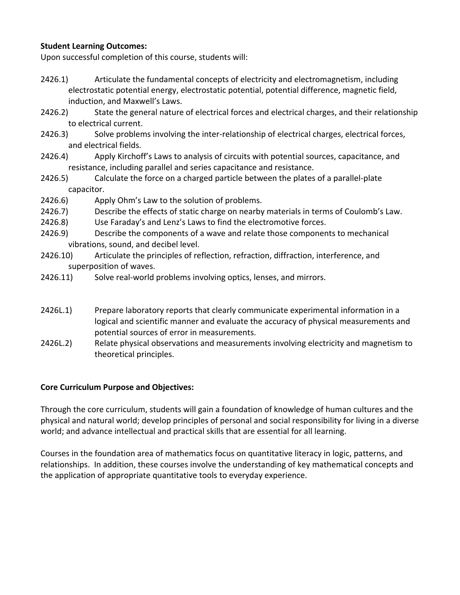## **Student Learning Outcomes:**

Upon successful completion of this course, students will:

- 2426.1) Articulate the fundamental concepts of electricity and electromagnetism, including electrostatic potential energy, electrostatic potential, potential difference, magnetic field, induction, and Maxwell's Laws.
- 2426.2) State the general nature of electrical forces and electrical charges, and their relationship to electrical current.
- 2426.3) Solve problems involving the inter-relationship of electrical charges, electrical forces, and electrical fields.
- 2426.4) Apply Kirchoff's Laws to analysis of circuits with potential sources, capacitance, and resistance, including parallel and series capacitance and resistance.
- 2426.5) Calculate the force on a charged particle between the plates of a parallel-plate capacitor.
- 2426.6) Apply Ohm's Law to the solution of problems.
- 2426.7) Describe the effects of static charge on nearby materials in terms of Coulomb's Law.
- 2426.8) Use Faraday's and Lenz's Laws to find the electromotive forces.
- 2426.9) Describe the components of a wave and relate those components to mechanical vibrations, sound, and decibel level.
- 2426.10) Articulate the principles of reflection, refraction, diffraction, interference, and superposition of waves.
- 2426.11) Solve real-world problems involving optics, lenses, and mirrors.
- 2426L.1) Prepare laboratory reports that clearly communicate experimental information in a logical and scientific manner and evaluate the accuracy of physical measurements and potential sources of error in measurements.
- 2426L.2) Relate physical observations and measurements involving electricity and magnetism to theoretical principles.

## **Core Curriculum Purpose and Objectives:**

Through the core curriculum, students will gain a foundation of knowledge of human cultures and the physical and natural world; develop principles of personal and social responsibility for living in a diverse world; and advance intellectual and practical skills that are essential for all learning.

Courses in the foundation area of mathematics focus on quantitative literacy in logic, patterns, and relationships. In addition, these courses involve the understanding of key mathematical concepts and the application of appropriate quantitative tools to everyday experience.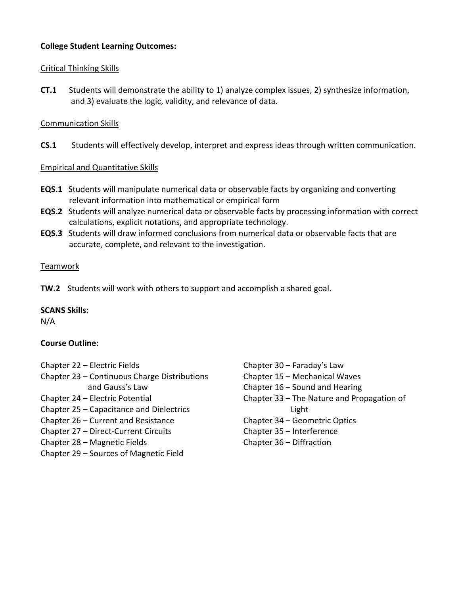## **College Student Learning Outcomes:**

## Critical Thinking Skills

**CT.1** Students will demonstrate the ability to 1) analyze complex issues, 2) synthesize information, and 3) evaluate the logic, validity, and relevance of data.

## Communication Skills

**CS.1** Students will effectively develop, interpret and express ideas through written communication.

## Empirical and Quantitative Skills

- **EQS.1** Students will manipulate numerical data or observable facts by organizing and converting relevant information into mathematical or empirical form
- **EQS.2** Students will analyze numerical data or observable facts by processing information with correct calculations, explicit notations, and appropriate technology.
- **EQS.3** Students will draw informed conclusions from numerical data or observable facts that are accurate, complete, and relevant to the investigation.

## Teamwork

**TW.2** Students will work with others to support and accomplish a shared goal.

#### **SCANS Skills:**

N/A

#### **Course Outline:**

- Chapter 22 Electric Fields
- Chapter 23 Continuous Charge Distributions and Gauss's Law
- Chapter 24 Electric Potential
- Chapter 25 Capacitance and Dielectrics
- Chapter 26 Current and Resistance
- Chapter 27 Direct-Current Circuits
- Chapter 28 Magnetic Fields
- Chapter 29 Sources of Magnetic Field
- Chapter 30 Faraday's Law Chapter 15 – Mechanical Waves Chapter 16 – Sound and Hearing Chapter 33 – The Nature and Propagation of Light Chapter 34 – Geometric Optics Chapter 35 – Interference Chapter 36 – Diffraction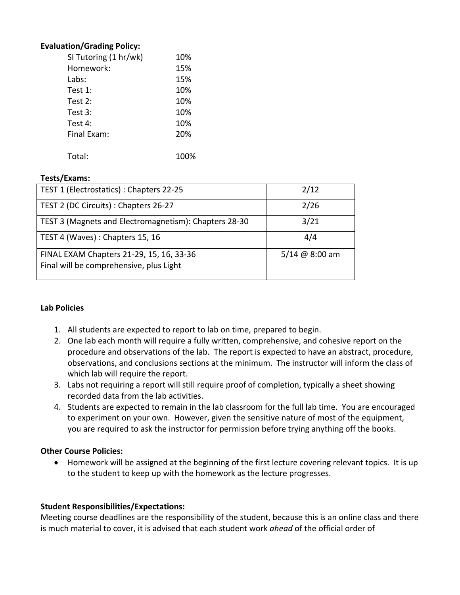#### **Evaluation/Grading Policy:**

| SI Tutoring (1 hr/wk) | 10% |
|-----------------------|-----|
| Homework:             | 15% |
| Labs:                 | 15% |
| Test $1$ :            | 10% |
| Test $2:$             | 10% |
| Test $3:$             | 10% |
| Test $4:$             | 10% |
| Final Exam:           | 20% |
|                       |     |
| Total:                |     |

#### **Tests/Exams:**

| TEST 1 (Electrostatics) : Chapters 22-25                                            | 2/12           |
|-------------------------------------------------------------------------------------|----------------|
| TEST 2 (DC Circuits) : Chapters 26-27                                               | 2/26           |
| TEST 3 (Magnets and Electromagnetism): Chapters 28-30                               | 3/21           |
| TEST 4 (Waves): Chapters 15, 16                                                     | 4/4            |
| FINAL EXAM Chapters 21-29, 15, 16, 33-36<br>Final will be comprehensive, plus Light | 5/14 @ 8:00 am |

#### **Lab Policies**

- 1. All students are expected to report to lab on time, prepared to begin.
- 2. One lab each month will require a fully written, comprehensive, and cohesive report on the procedure and observations of the lab. The report is expected to have an abstract, procedure, observations, and conclusions sections at the minimum. The instructor will inform the class of which lab will require the report.
- 3. Labs not requiring a report will still require proof of completion, typically a sheet showing recorded data from the lab activities.
- 4. Students are expected to remain in the lab classroom for the full lab time. You are encouraged to experiment on your own. However, given the sensitive nature of most of the equipment, you are required to ask the instructor for permission before trying anything off the books.

#### **Other Course Policies:**

• Homework will be assigned at the beginning of the first lecture covering relevant topics. It is up to the student to keep up with the homework as the lecture progresses.

#### **Student Responsibilities/Expectations:**

Meeting course deadlines are the responsibility of the student, because this is an online class and there is much material to cover, it is advised that each student work *ahead* of the official order of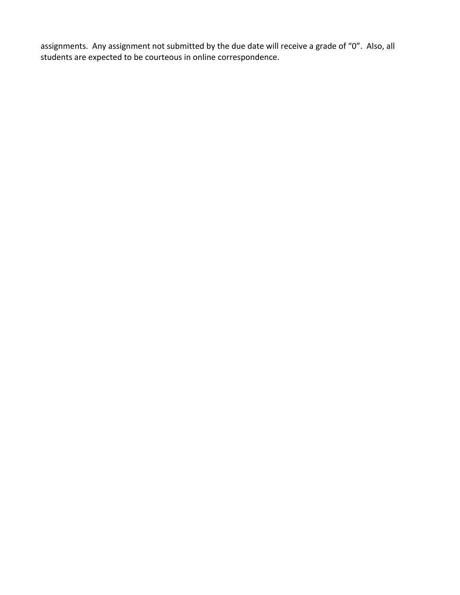assignments. Any assignment not submitted by the due date will receive a grade of "0". Also, all students are expected to be courteous in online correspondence.